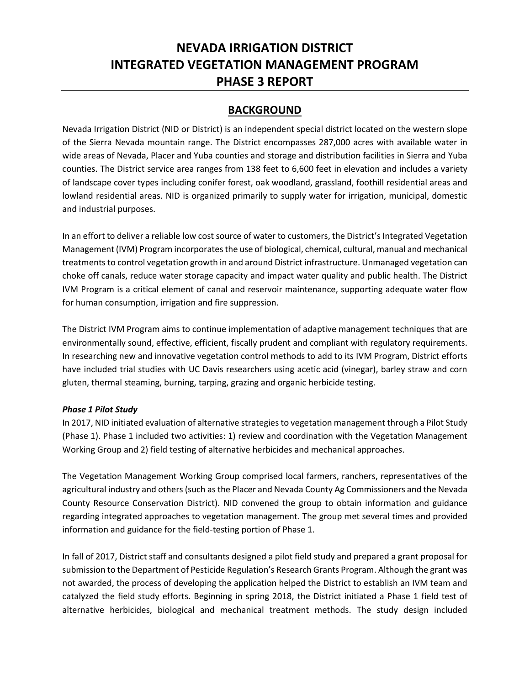# **NEVADA IRRIGATION DISTRICT INTEGRATED VEGETATION MANAGEMENT PROGRAM PHASE 3 REPORT**

# **BACKGROUND**

Nevada Irrigation District (NID or District) is an independent special district located on the western slope of the Sierra Nevada mountain range. The District encompasses 287,000 acres with available water in wide areas of Nevada, Placer and Yuba counties and storage and distribution facilities in Sierra and Yuba counties. The District service area ranges from 138 feet to 6,600 feet in elevation and includes a variety of landscape cover types including conifer forest, oak woodland, grassland, foothill residential areas and lowland residential areas. NID is organized primarily to supply water for irrigation, municipal, domestic and industrial purposes.

In an effort to deliver a reliable low cost source of water to customers, the District's Integrated Vegetation Management (IVM) Program incorporatesthe use of biological, chemical, cultural, manual and mechanical treatments to control vegetation growth in and around District infrastructure. Unmanaged vegetation can choke off canals, reduce water storage capacity and impact water quality and public health. The District IVM Program is a critical element of canal and reservoir maintenance, supporting adequate water flow for human consumption, irrigation and fire suppression.

The District IVM Program aims to continue implementation of adaptive management techniques that are environmentally sound, effective, efficient, fiscally prudent and compliant with regulatory requirements. In researching new and innovative vegetation control methods to add to its IVM Program, District efforts have included trial studies with UC Davis researchers using acetic acid (vinegar), barley straw and corn gluten, thermal steaming, burning, tarping, grazing and organic herbicide testing.

### *Phase 1 Pilot Study*

In 2017, NID initiated evaluation of alternative strategies to vegetation management through a Pilot Study (Phase 1). Phase 1 included two activities: 1) review and coordination with the Vegetation Management Working Group and 2) field testing of alternative herbicides and mechanical approaches.

The Vegetation Management Working Group comprised local farmers, ranchers, representatives of the agricultural industry and others (such as the Placer and Nevada County Ag Commissioners and the Nevada County Resource Conservation District). NID convened the group to obtain information and guidance regarding integrated approaches to vegetation management. The group met several times and provided information and guidance for the field-testing portion of Phase 1.

In fall of 2017, District staff and consultants designed a pilot field study and prepared a grant proposal for submission to the Department of Pesticide Regulation's Research Grants Program. Although the grant was not awarded, the process of developing the application helped the District to establish an IVM team and catalyzed the field study efforts. Beginning in spring 2018, the District initiated a Phase 1 field test of alternative herbicides, biological and mechanical treatment methods. The study design included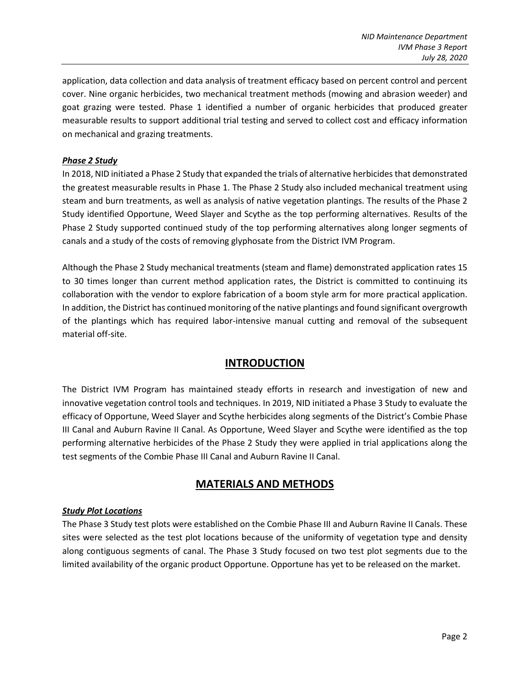application, data collection and data analysis of treatment efficacy based on percent control and percent cover. Nine organic herbicides, two mechanical treatment methods (mowing and abrasion weeder) and goat grazing were tested. Phase 1 identified a number of organic herbicides that produced greater measurable results to support additional trial testing and served to collect cost and efficacy information on mechanical and grazing treatments.

### *Phase 2 Study*

In 2018, NID initiated a Phase 2 Study that expanded the trials of alternative herbicides that demonstrated the greatest measurable results in Phase 1. The Phase 2 Study also included mechanical treatment using steam and burn treatments, as well as analysis of native vegetation plantings. The results of the Phase 2 Study identified Opportune, Weed Slayer and Scythe as the top performing alternatives. Results of the Phase 2 Study supported continued study of the top performing alternatives along longer segments of canals and a study of the costs of removing glyphosate from the District IVM Program.

Although the Phase 2 Study mechanical treatments (steam and flame) demonstrated application rates 15 to 30 times longer than current method application rates, the District is committed to continuing its collaboration with the vendor to explore fabrication of a boom style arm for more practical application. In addition, the District has continued monitoring of the native plantings and found significant overgrowth of the plantings which has required labor-intensive manual cutting and removal of the subsequent material off-site.

### **INTRODUCTION**

The District IVM Program has maintained steady efforts in research and investigation of new and innovative vegetation control tools and techniques. In 2019, NID initiated a Phase 3 Study to evaluate the efficacy of Opportune, Weed Slayer and Scythe herbicides along segments of the District's Combie Phase III Canal and Auburn Ravine II Canal. As Opportune, Weed Slayer and Scythe were identified as the top performing alternative herbicides of the Phase 2 Study they were applied in trial applications along the test segments of the Combie Phase III Canal and Auburn Ravine II Canal.

# **MATERIALS AND METHODS**

#### *Study Plot Locations*

The Phase 3 Study test plots were established on the Combie Phase III and Auburn Ravine II Canals. These sites were selected as the test plot locations because of the uniformity of vegetation type and density along contiguous segments of canal. The Phase 3 Study focused on two test plot segments due to the limited availability of the organic product Opportune. Opportune has yet to be released on the market.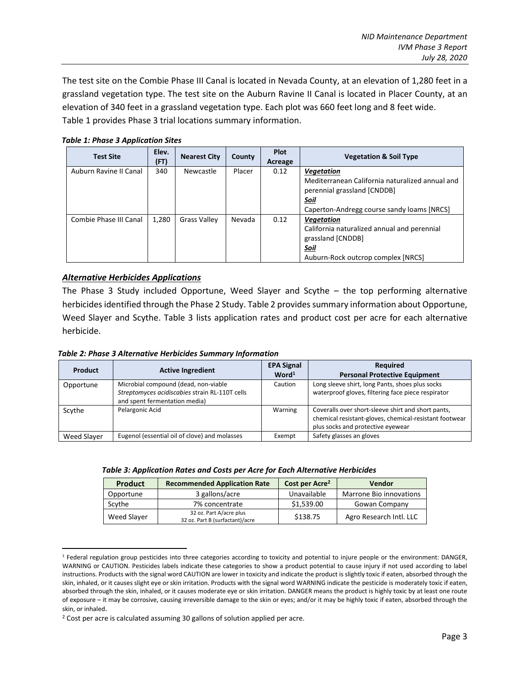The test site on the Combie Phase III Canal is located in Nevada County, at an elevation of 1,280 feet in a grassland vegetation type. The test site on the Auburn Ravine II Canal is located in Placer County, at an elevation of 340 feet in a grassland vegetation type. Each plot was 660 feet long and 8 feet wide. Table 1 provides Phase 3 trial locations summary information.

*Table 1: Phase 3 Application Sites*

| <b>Test Site</b>       | Elev.<br>(FT) | <b>Nearest City</b> | County | <b>Plot</b><br>Acreage | <b>Vegetation &amp; Soil Type</b>               |
|------------------------|---------------|---------------------|--------|------------------------|-------------------------------------------------|
| Auburn Ravine II Canal | 340           | Newcastle           | Placer | 0.12                   | <b>Vegetation</b>                               |
|                        |               |                     |        |                        | Mediterranean California naturalized annual and |
|                        |               |                     |        |                        | perennial grassland [CNDDB]                     |
|                        |               |                     |        |                        | Soil                                            |
|                        |               |                     |        |                        | Caperton-Andregg course sandy loams [NRCS]      |
| Combie Phase III Canal | 1,280         | <b>Grass Valley</b> | Nevada | 0.12                   | <b>Vegetation</b>                               |
|                        |               |                     |        |                        | California naturalized annual and perennial     |
|                        |               |                     |        |                        | grassland [CNDDB]                               |
|                        |               |                     |        |                        | Soil                                            |
|                        |               |                     |        |                        | Auburn-Rock outcrop complex [NRCS]              |

### *Alternative Herbicides Applications*

 $\overline{\phantom{a}}$ 

The Phase 3 Study included Opportune, Weed Slayer and Scythe – the top performing alternative herbicides identified through the Phase 2 Study. Table 2 provides summary information about Opportune, Weed Slayer and Scythe. Table 3 lists application rates and product cost per acre for each alternative herbicide.

*Table 2: Phase 3 Alternative Herbicides Summary Information*

| Product     | <b>Active Ingredient</b>                                                                                                | <b>EPA Signal</b> | <b>Required</b>                                                                                                                                   |
|-------------|-------------------------------------------------------------------------------------------------------------------------|-------------------|---------------------------------------------------------------------------------------------------------------------------------------------------|
|             |                                                                                                                         | Word <sup>1</sup> | <b>Personal Protective Equipment</b>                                                                                                              |
| Opportune   | Microbial compound (dead, non-viable<br>Streptomyces acidiscabies strain RL-110T cells<br>and spent fermentation media) | Caution           | Long sleeve shirt, long Pants, shoes plus socks<br>waterproof gloves, filtering face piece respirator                                             |
| Scythe      | Pelargonic Acid                                                                                                         | Warning           | Coveralls over short-sleeve shirt and short pants,<br>chemical resistant-gloves, chemical-resistant footwear<br>plus socks and protective eyewear |
| Weed Slaver | Eugenol (essential oil of clove) and molasses                                                                           | Exempt            | Safety glasses an gloves                                                                                                                          |

| Table 3: Application Rates and Costs per Acre for Each Alternative Herbicides |  |  |
|-------------------------------------------------------------------------------|--|--|
|-------------------------------------------------------------------------------|--|--|

| <b>Product</b> | <b>Recommended Application Rate</b>                        | Cost per Acre <sup>2</sup> | <b>Vendor</b>           |
|----------------|------------------------------------------------------------|----------------------------|-------------------------|
| Opportune      | 3 gallons/acre                                             | Unavailable                | Marrone Bio innovations |
| Scythe         | 7% concentrate                                             | \$1,539.00                 | Gowan Company           |
| Weed Slaver    | 32 oz. Part A/acre plus<br>32 oz. Part B (surfactant)/acre | \$138.75                   | Agro Research Intl. LLC |

<sup>&</sup>lt;sup>1</sup> Federal regulation group pesticides into three categories according to toxicity and potential to injure people or the environment: DANGER, WARNING or CAUTION. Pesticides labels indicate these categories to show a product potential to cause injury if not used according to label instructions. Products with the signal word CAUTION are lower in toxicity and indicate the product is slightly toxic if eaten, absorbed through the skin, inhaled, or it causes slight eye or skin irritation. Products with the signal word WARNING indicate the pesticide is moderately toxic if eaten, absorbed through the skin, inhaled, or it causes moderate eye or skin irritation. DANGER means the product is highly toxic by at least one route of exposure – it may be corrosive, causing irreversible damage to the skin or eyes; and/or it may be highly toxic if eaten, absorbed through the skin, or inhaled.

<sup>&</sup>lt;sup>2</sup> Cost per acre is calculated assuming 30 gallons of solution applied per acre.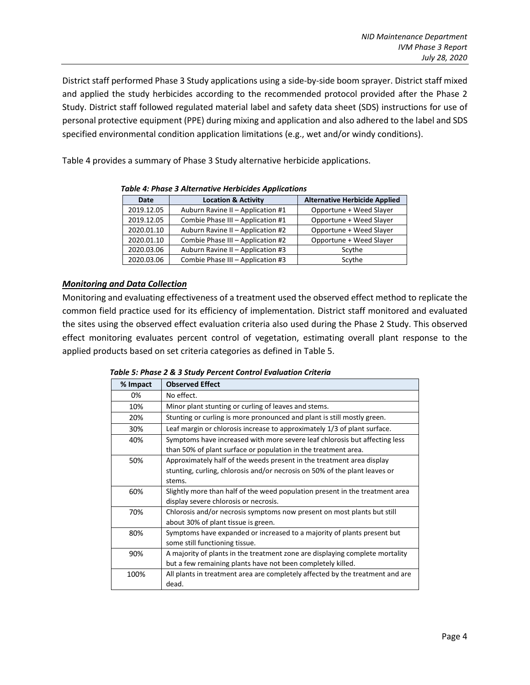District staff performed Phase 3 Study applications using a side-by-side boom sprayer. District staff mixed and applied the study herbicides according to the recommended protocol provided after the Phase 2 Study. District staff followed regulated material label and safety data sheet (SDS) instructions for use of personal protective equipment (PPE) during mixing and application and also adhered to the label and SDS specified environmental condition application limitations (e.g., wet and/or windy conditions).

Table 4 provides a summary of Phase 3 Study alternative herbicide applications.

| Date       | <b>Location &amp; Activity</b>    | <b>Alternative Herbicide Applied</b> |
|------------|-----------------------------------|--------------------------------------|
| 2019.12.05 | Auburn Ravine II - Application #1 | Opportune + Weed Slayer              |
| 2019.12.05 | Combie Phase III - Application #1 | Opportune + Weed Slayer              |
| 2020.01.10 | Auburn Ravine II - Application #2 | Opportune + Weed Slayer              |
| 2020.01.10 | Combie Phase III - Application #2 | Opportune + Weed Slayer              |
| 2020.03.06 | Auburn Ravine II - Application #3 | Scythe                               |
| 2020.03.06 | Combie Phase III - Application #3 | Scythe                               |

*Table 4: Phase 3 Alternative Herbicides Applications*

### *Monitoring and Data Collection*

Monitoring and evaluating effectiveness of a treatment used the observed effect method to replicate the common field practice used for its efficiency of implementation. District staff monitored and evaluated the sites using the observed effect evaluation criteria also used during the Phase 2 Study. This observed effect monitoring evaluates percent control of vegetation, estimating overall plant response to the applied products based on set criteria categories as defined in Table 5.

*Table 5: Phase 2 & 3 Study Percent Control Evaluation Criteria*

| % Impact | <b>Observed Effect</b>                                                        |
|----------|-------------------------------------------------------------------------------|
| 0%       | No effect.                                                                    |
| 10%      | Minor plant stunting or curling of leaves and stems.                          |
| 20%      | Stunting or curling is more pronounced and plant is still mostly green.       |
| 30%      | Leaf margin or chlorosis increase to approximately 1/3 of plant surface.      |
| 40%      | Symptoms have increased with more severe leaf chlorosis but affecting less    |
|          | than 50% of plant surface or population in the treatment area.                |
| 50%      | Approximately half of the weeds present in the treatment area display         |
|          | stunting, curling, chlorosis and/or necrosis on 50% of the plant leaves or    |
|          | stems.                                                                        |
| 60%      | Slightly more than half of the weed population present in the treatment area  |
|          | display severe chlorosis or necrosis.                                         |
| 70%      | Chlorosis and/or necrosis symptoms now present on most plants but still       |
|          | about 30% of plant tissue is green.                                           |
| 80%      | Symptoms have expanded or increased to a majority of plants present but       |
|          | some still functioning tissue.                                                |
| 90%      | A majority of plants in the treatment zone are displaying complete mortality  |
|          | but a few remaining plants have not been completely killed.                   |
| 100%     | All plants in treatment area are completely affected by the treatment and are |
|          | dead.                                                                         |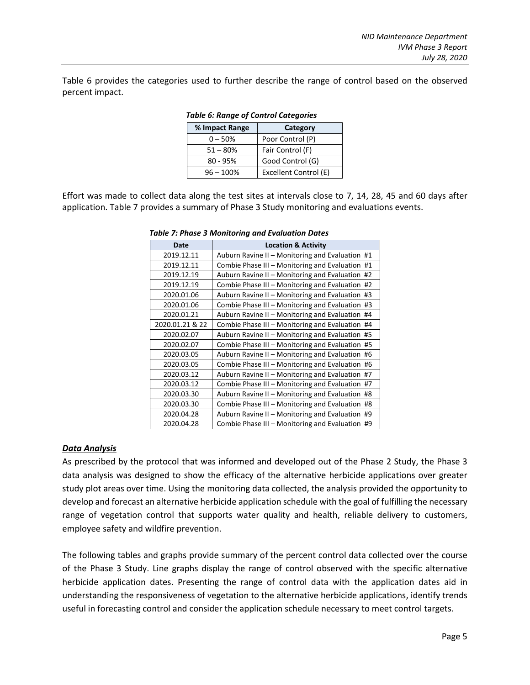Table 6 provides the categories used to further describe the range of control based on the observed percent impact.

| % Impact Range | Category              |
|----------------|-----------------------|
| $0 - 50%$      | Poor Control (P)      |
| $51 - 80%$     | Fair Control (F)      |
| $80 - 95%$     | Good Control (G)      |
| $96 - 100%$    | Excellent Control (E) |

#### *Table 6: Range of Control Categories*

Effort was made to collect data along the test sites at intervals close to 7, 14, 28, 45 and 60 days after application. Table 7 provides a summary of Phase 3 Study monitoring and evaluations events.

| <b>Date</b>     | <b>Location &amp; Activity</b>                  |
|-----------------|-------------------------------------------------|
| 2019.12.11      | Auburn Ravine II – Monitoring and Evaluation #1 |
| 2019.12.11      | Combie Phase III - Monitoring and Evaluation #1 |
| 2019.12.19      | Auburn Ravine II - Monitoring and Evaluation #2 |
| 2019.12.19      | Combie Phase III – Monitoring and Evaluation #2 |
| 2020.01.06      | Auburn Ravine II - Monitoring and Evaluation #3 |
| 2020.01.06      | Combie Phase III - Monitoring and Evaluation #3 |
| 2020.01.21      | Auburn Ravine II - Monitoring and Evaluation #4 |
| 2020.01.21 & 22 | Combie Phase III - Monitoring and Evaluation #4 |
| 2020.02.07      | Auburn Ravine II – Monitoring and Evaluation #5 |
| 2020.02.07      | Combie Phase III - Monitoring and Evaluation #5 |
| 2020.03.05      | Auburn Ravine II - Monitoring and Evaluation #6 |
| 2020.03.05      | Combie Phase III - Monitoring and Evaluation #6 |
| 2020.03.12      | Auburn Ravine II - Monitoring and Evaluation #7 |
| 2020.03.12      | Combie Phase III - Monitoring and Evaluation #7 |
| 2020.03.30      | Auburn Ravine II – Monitoring and Evaluation #8 |
| 2020.03.30      | Combie Phase III - Monitoring and Evaluation #8 |
| 2020.04.28      | Auburn Ravine II - Monitoring and Evaluation #9 |
| 2020.04.28      | Combie Phase III - Monitoring and Evaluation #9 |

*Table 7: Phase 3 Monitoring and Evaluation Dates*

#### *Data Analysis*

As prescribed by the protocol that was informed and developed out of the Phase 2 Study, the Phase 3 data analysis was designed to show the efficacy of the alternative herbicide applications over greater study plot areas over time. Using the monitoring data collected, the analysis provided the opportunity to develop and forecast an alternative herbicide application schedule with the goal of fulfilling the necessary range of vegetation control that supports water quality and health, reliable delivery to customers, employee safety and wildfire prevention.

The following tables and graphs provide summary of the percent control data collected over the course of the Phase 3 Study. Line graphs display the range of control observed with the specific alternative herbicide application dates. Presenting the range of control data with the application dates aid in understanding the responsiveness of vegetation to the alternative herbicide applications, identify trends useful in forecasting control and consider the application schedule necessary to meet control targets.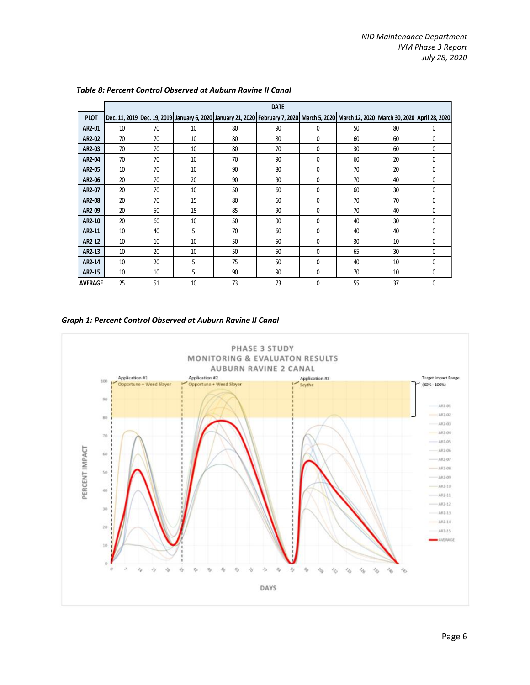|                | <b>DATE</b> |    |    |    |                                                                                                                                          |              |    |    |   |
|----------------|-------------|----|----|----|------------------------------------------------------------------------------------------------------------------------------------------|--------------|----|----|---|
| <b>PLOT</b>    |             |    |    |    | Dec. 11, 2019 Dec. 19, 2019 January 6, 2020 January 21, 2020 February 7, 2020 March 5, 2020 March 12, 2020 March 30, 2020 April 28, 2020 |              |    |    |   |
| AR2-01         | 10          | 70 | 10 | 80 | 90                                                                                                                                       | 0            | 50 | 80 | 0 |
| AR2-02         | 70          | 70 | 10 | 80 | 80                                                                                                                                       | 0            | 60 | 60 | 0 |
| AR2-03         | 70          | 70 | 10 | 80 | 70                                                                                                                                       | 0            | 30 | 60 | 0 |
| AR2-04         | 70          | 70 | 10 | 70 | 90                                                                                                                                       | 0            | 60 | 20 | 0 |
| AR2-05         | 10          | 70 | 10 | 90 | 80                                                                                                                                       | 0            | 70 | 20 | 0 |
| AR2-06         | 20          | 70 | 20 | 90 | 90                                                                                                                                       | 0            | 70 | 40 | 0 |
| AR2-07         | 20          | 70 | 10 | 50 | 60                                                                                                                                       | 0            | 60 | 30 | 0 |
| AR2-08         | 20          | 70 | 15 | 80 | 60                                                                                                                                       | 0            | 70 | 70 | 0 |
| AR2-09         | 20          | 50 | 15 | 85 | 90                                                                                                                                       | 0            | 70 | 40 | 0 |
| AR2-10         | 20          | 60 | 10 | 50 | 90                                                                                                                                       | 0            | 40 | 30 | 0 |
| AR2-11         | 10          | 40 | 5  | 70 | 60                                                                                                                                       | $\mathbf{0}$ | 40 | 40 | 0 |
| AR2-12         | 10          | 10 | 10 | 50 | 50                                                                                                                                       | $\mathbf{0}$ | 30 | 10 | 0 |
| AR2-13         | 10          | 20 | 10 | 50 | 50                                                                                                                                       | 0            | 65 | 30 | 0 |
| AR2-14         | 10          | 20 | 5  | 75 | 50                                                                                                                                       | 0            | 40 | 10 | 0 |
| AR2-15         | 10          | 10 | 5  | 90 | 90                                                                                                                                       | 0            | 70 | 10 | 0 |
| <b>AVERAGE</b> | 25          | 51 | 10 | 73 | 73                                                                                                                                       | 0            | 55 | 37 | 0 |

#### *Table 8: Percent Control Observed at Auburn Ravine II Canal*

*Graph 1: Percent Control Observed at Auburn Ravine II Canal*

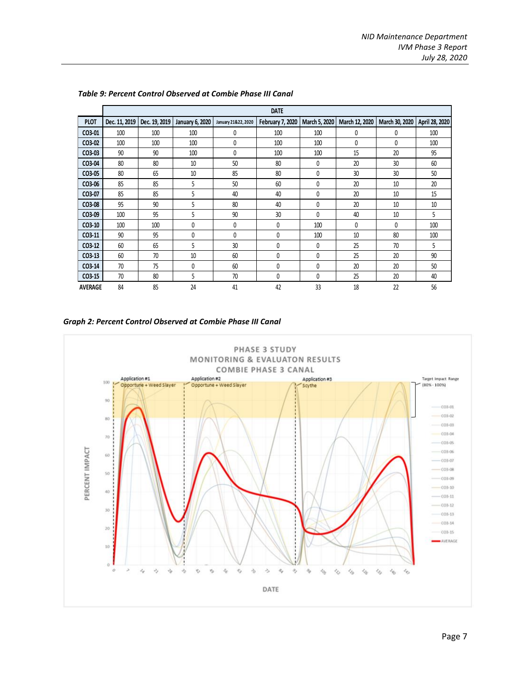|                |               | <b>DATE</b>   |                        |                     |                         |               |                |                 |                |
|----------------|---------------|---------------|------------------------|---------------------|-------------------------|---------------|----------------|-----------------|----------------|
| <b>PLOT</b>    | Dec. 11, 2019 | Dec. 19, 2019 | <b>January 6, 2020</b> | January 21&22, 2020 | <b>February 7, 2020</b> | March 5, 2020 | March 12, 2020 | March 30, 2020  | April 28, 2020 |
| CO3-01         | 100           | 100           | 100                    | 0                   | 100                     | 100           | 0              | 0               | 100            |
| CO3-02         | 100           | 100           | 100                    | 0                   | 100                     | 100           | 0              | 0               | 100            |
| CO3-03         | 90            | 90            | 100                    | 0                   | 100                     | 100           | 15             | 20              | 95             |
| CO3-04         | 80            | 80            | 10                     | 50                  | 80                      | 0             | 20             | 30 <sup>2</sup> | 60             |
| CO3-05         | 80            | 65            | 10                     | 85                  | 80                      | 0             | 30             | 30              | 50             |
| CO3-06         | 85            | 85            | 5                      | 50                  | 60                      | 0             | 20             | 10              | 20             |
| CO3-07         | 85            | 85            | 5                      | 40                  | 40                      | 0             | 20             | 10              | 15             |
| CO3-08         | 95            | 90            | 5                      | 80                  | 40                      | 0             | 20             | 10              | 10             |
| CO3-09         | 100           | 95            | 5                      | 90                  | 30                      | 0             | 40             | 10              | 5              |
| $CO3-10$       | 100           | 100           | 0                      | 0                   | 0                       | 100           | 0              | 0               | 100            |
| CO3-11         | 90            | 95            | 0                      | 0                   | 0                       | 100           | 10             | 80              | 100            |
| $CO3-12$       | 60            | 65            | 5                      | 30                  | 0                       | 0             | 25             | 70              | 5              |
| $CO3-13$       | 60            | 70            | 10                     | 60                  | 0                       | 0             | 25             | 20              | 90             |
| CO3-14         | 70            | 75            | 0                      | 60                  | 0                       | 0             | 20             | 20              | 50             |
| CO3-15         | 70            | 80            | 5                      | 70                  | 0                       | 0             | 25             | 20              | 40             |
| <b>AVERAGE</b> | 84            | 85            | 24                     | 41                  | 42                      | 33            | 18             | 22              | 56             |

#### *Table 9: Percent Control Observed at Combie Phase III Canal*

*Graph 2: Percent Control Observed at Combie Phase III Canal*